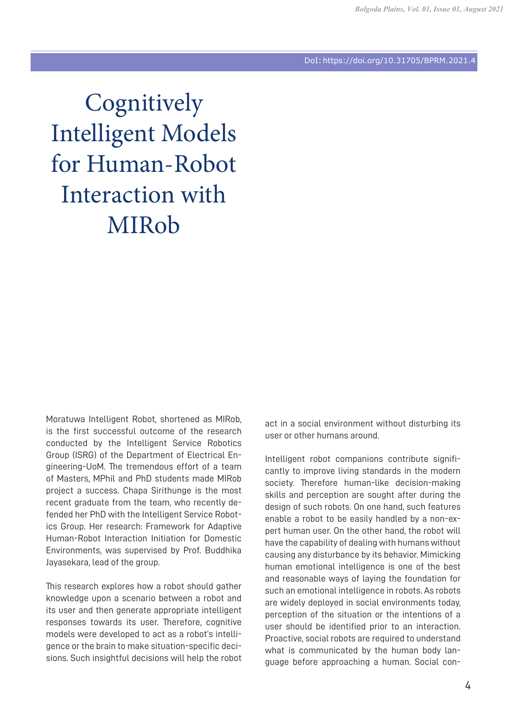## DoI: https://doi.org/10.31705/BPRM.2021.4

**Cognitively** Intelligent Models for Human-Robot Interaction with MIRob

Moratuwa Intelligent Robot, shortened as MIRob, is the first successful outcome of the research conducted by the Intelligent Service Robotics Group (ISRG) of the Department of Electrical Engineering-UoM. The tremendous effort of a team of Masters, MPhil and PhD students made MIRob project a success. Chapa Sirithunge is the most recent graduate from the team, who recently defended her PhD with the Intelligent Service Robotics Group. Her research: Framework for Adaptive Human-Robot Interaction Initiation for Domestic Environments, was supervised by Prof. Buddhika Jayasekara, lead of the group.

This research explores how a robot should gather knowledge upon a scenario between a robot and its user and then generate appropriate intelligent responses towards its user. Therefore, cognitive models were developed to act as a robot's intelligence or the brain to make situation-specific decisions. Such insightful decisions will help the robot act in a social environment without disturbing its user or other humans around.

Intelligent robot companions contribute significantly to improve living standards in the modern society. Therefore human-like decision-making skills and perception are sought after during the design of such robots. On one hand, such features enable a robot to be easily handled by a non-expert human user. On the other hand, the robot will have the capability of dealing with humans without causing any disturbance by its behavior. Mimicking human emotional intelligence is one of the best and reasonable ways of laying the foundation for such an emotional intelligence in robots. As robots are widely deployed in social environments today, perception of the situation or the intentions of a user should be identified prior to an interaction. Proactive, social robots are required to understand what is communicated by the human body language before approaching a human. Social con-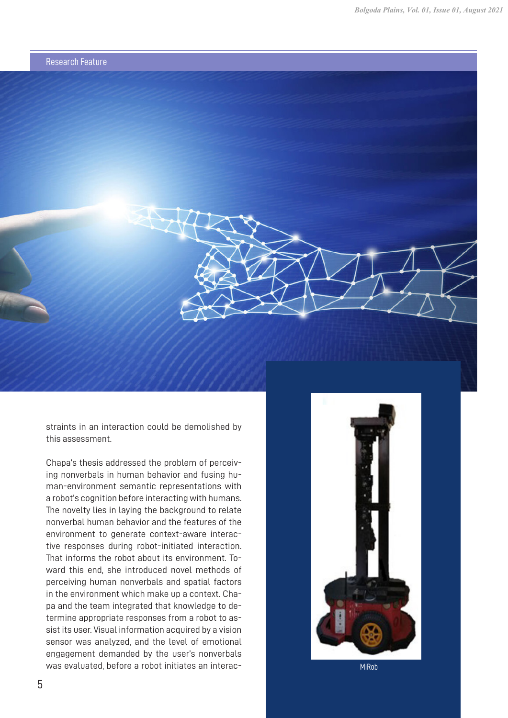



Chapa's thesis addressed the problem of perceiving nonverbals in human behavior and fusing human-environment semantic representations with a robot's cognition before interacting with humans. The novelty lies in laying the background to relate nonverbal human behavior and the features of the environment to generate context-aware interactive responses during robot-initiated interaction. That informs the robot about its environment. Toward this end, she introduced novel methods of perceiving human nonverbals and spatial factors in the environment which make up a context. Chapa and the team integrated that knowledge to determine appropriate responses from a robot to assist its user. Visual information acquired by a vision sensor was analyzed, and the level of emotional engagement demanded by the user's nonverbals was evaluated, before a robot initiates an interac-